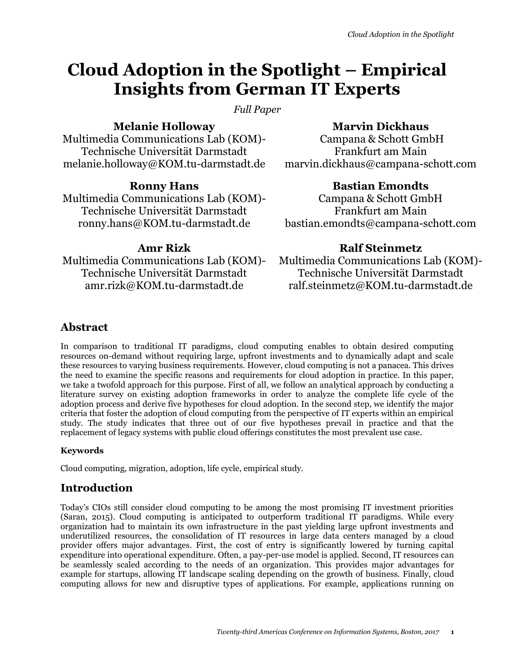# **Cloud Adoption in the Spotlight – Empirical Insights from German IT Experts**

*Full Paper*

# **Melanie Holloway**

Multimedia Communications Lab (KOM)- Technische Universität Darmstadt melanie.holloway@KOM.tu-darmstadt.de

# **Ronny Hans**

Multimedia Communications Lab (KOM)- Technische Universität Darmstadt ronny.hans@KOM.tu-darmstadt.de

# **Amr Rizk**

Multimedia Communications Lab (KOM)- Technische Universität Darmstadt amr.rizk@KOM.tu-darmstadt.de

## **Marvin Dickhaus**

Campana & Schott GmbH Frankfurt am Main marvin.dickhaus@campana-schott.com

## **Bastian Emondts**

Campana & Schott GmbH Frankfurt am Main bastian.emondts@campana-schott.com

## **Ralf Steinmetz**

Multimedia Communications Lab (KOM)- Technische Universität Darmstadt ralf.steinmetz@KOM.tu-darmstadt.de

# **Abstract**

In comparison to traditional IT paradigms, cloud computing enables to obtain desired computing resources on-demand without requiring large, upfront investments and to dynamically adapt and scale these resources to varying business requirements. However, cloud computing is not a panacea. This drives the need to examine the specific reasons and requirements for cloud adoption in practice. In this paper, we take a twofold approach for this purpose. First of all, we follow an analytical approach by conducting a literature survey on existing adoption frameworks in order to analyze the complete life cycle of the adoption process and derive five hypotheses for cloud adoption. In the second step, we identify the major criteria that foster the adoption of cloud computing from the perspective of IT experts within an empirical study. The study indicates that three out of our five hypotheses prevail in practice and that the replacement of legacy systems with public cloud offerings constitutes the most prevalent use case.

## **Keywords**

Cloud computing, migration, adoption, life cycle, empirical study.

# **Introduction**

Today's CIOs still consider cloud computing to be among the most promising IT investment priorities (Saran, 2015). Cloud computing is anticipated to outperform traditional IT paradigms. While every organization had to maintain its own infrastructure in the past yielding large upfront investments and underutilized resources, the consolidation of IT resources in large data centers managed by a cloud provider offers major advantages. First, the cost of entry is significantly lowered by turning capital expenditure into operational expenditure. Often, a pay-per-use model is applied. Second, IT resources can be seamlessly scaled according to the needs of an organization. This provides major advantages for example for startups, allowing IT landscape scaling depending on the growth of business. Finally, cloud computing allows for new and disruptive types of applications. For example, applications running on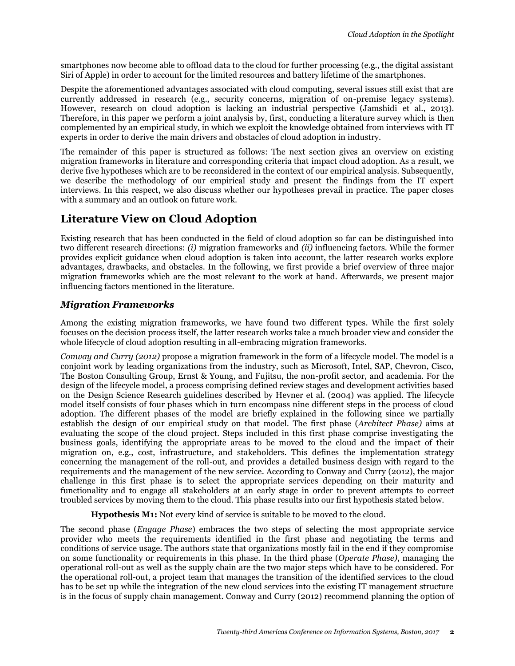smartphones now become able to offload data to the cloud for further processing (e.g., the digital assistant Siri of Apple) in order to account for the limited resources and battery lifetime of the smartphones.

Despite the aforementioned advantages associated with cloud computing, several issues still exist that are currently addressed in research (e.g., security concerns, migration of on-premise legacy systems). However, research on cloud adoption is lacking an industrial perspective (Jamshidi et al., 2013). Therefore, in this paper we perform a joint analysis by, first, conducting a literature survey which is then complemented by an empirical study, in which we exploit the knowledge obtained from interviews with IT experts in order to derive the main drivers and obstacles of cloud adoption in industry.

The remainder of this paper is structured as follows: The next section gives an overview on existing migration frameworks in literature and corresponding criteria that impact cloud adoption. As a result, we derive five hypotheses which are to be reconsidered in the context of our empirical analysis. Subsequently, we describe the methodology of our empirical study and present the findings from the IT expert interviews. In this respect, we also discuss whether our hypotheses prevail in practice. The paper closes with a summary and an outlook on future work.

# **Literature View on Cloud Adoption**

Existing research that has been conducted in the field of cloud adoption so far can be distinguished into two different research directions: *(i)* migration frameworks and *(ii)* influencing factors. While the former provides explicit guidance when cloud adoption is taken into account, the latter research works explore advantages, drawbacks, and obstacles. In the following, we first provide a brief overview of three major migration frameworks which are the most relevant to the work at hand. Afterwards, we present major influencing factors mentioned in the literature.

#### *Migration Frameworks*

Among the existing migration frameworks, we have found two different types. While the first solely focuses on the decision process itself, the latter research works take a much broader view and consider the whole lifecycle of cloud adoption resulting in all-embracing migration frameworks.

*Conway and Curry (2012)* propose a migration framework in the form of a lifecycle model. The model is a conjoint work by leading organizations from the industry, such as Microsoft, Intel, SAP, Chevron, Cisco, The Boston Consulting Group, Ernst & Young, and Fujitsu, the non-profit sector, and academia. For the design of the lifecycle model, a process comprising defined review stages and development activities based on the Design Science Research guidelines described by Hevner et al. (2004) was applied. The lifecycle model itself consists of four phases which in turn encompass nine different steps in the process of cloud adoption. The different phases of the model are briefly explained in the following since we partially establish the design of our empirical study on that model. The first phase (*Architect Phase)* aims at evaluating the scope of the cloud project. Steps included in this first phase comprise investigating the business goals, identifying the appropriate areas to be moved to the cloud and the impact of their migration on, e.g., cost, infrastructure, and stakeholders. This defines the implementation strategy concerning the management of the roll-out, and provides a detailed business design with regard to the requirements and the management of the new service. According to Conway and Curry (2012), the major challenge in this first phase is to select the appropriate services depending on their maturity and functionality and to engage all stakeholders at an early stage in order to prevent attempts to correct troubled services by moving them to the cloud. This phase results into our first hypothesis stated below.

**Hypothesis M1:** Not every kind of service is suitable to be moved to the cloud.

The second phase (*Engage Phase*) embraces the two steps of selecting the most appropriate service provider who meets the requirements identified in the first phase and negotiating the terms and conditions of service usage. The authors state that organizations mostly fail in the end if they compromise on some functionality or requirements in this phase. In the third phase (*Operate Phase)*, managing the operational roll-out as well as the supply chain are the two major steps which have to be considered. For the operational roll-out, a project team that manages the transition of the identified services to the cloud has to be set up while the integration of the new cloud services into the existing IT management structure is in the focus of supply chain management. Conway and Curry (2012) recommend planning the option of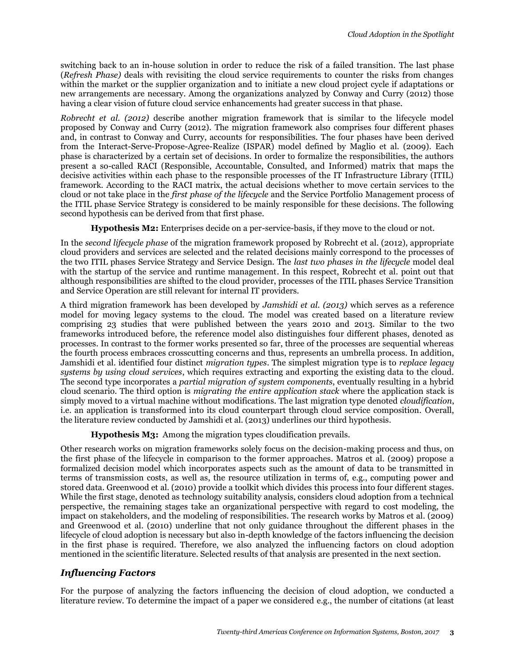switching back to an in-house solution in order to reduce the risk of a failed transition. The last phase (*Refresh Phase)* deals with revisiting the cloud service requirements to counter the risks from changes within the market or the supplier organization and to initiate a new cloud project cycle if adaptations or new arrangements are necessary. Among the organizations analyzed by Conway and Curry (2012) those having a clear vision of future cloud service enhancements had greater success in that phase.

*Robrecht et al. (2012)* describe another migration framework that is similar to the lifecycle model proposed by Conway and Curry (2012). The migration framework also comprises four different phases and, in contrast to Conway and Curry, accounts for responsibilities. The four phases have been derived from the Interact-Serve-Propose-Agree-Realize (ISPAR) model defined by Maglio et al. (2009). Each phase is characterized by a certain set of decisions. In order to formalize the responsibilities, the authors present a so-called RACI (Responsible, Accountable, Consulted, and Informed) matrix that maps the decisive activities within each phase to the responsible processes of the IT Infrastructure Library (ITIL) framework. According to the RACI matrix, the actual decisions whether to move certain services to the cloud or not take place in the *first phase of the lifecycle* and the Service Portfolio Management process of the ITIL phase Service Strategy is considered to be mainly responsible for these decisions. The following second hypothesis can be derived from that first phase.

**Hypothesis M2:** Enterprises decide on a per-service-basis, if they move to the cloud or not.

In the *second lifecycle phase* of the migration framework proposed by Robrecht et al. (2012), appropriate cloud providers and services are selected and the related decisions mainly correspond to the processes of the two ITIL phases Service Strategy and Service Design. The *last two phases in the lifecycle* model deal with the startup of the service and runtime management. In this respect, Robrecht et al. point out that although responsibilities are shifted to the cloud provider, processes of the ITIL phases Service Transition and Service Operation are still relevant for internal IT providers.

A third migration framework has been developed by *Jamshidi et al. (2013)* which serves as a reference model for moving legacy systems to the cloud. The model was created based on a literature review comprising 23 studies that were published between the years 2010 and 2013. Similar to the two frameworks introduced before, the reference model also distinguishes four different phases, denoted as processes. In contrast to the former works presented so far, three of the processes are sequential whereas the fourth process embraces crosscutting concerns and thus, represents an umbrella process. In addition, Jamshidi et al. identified four distinct *migration types*. The simplest migration type is to *replace legacy systems by using cloud services*, which requires extracting and exporting the existing data to the cloud. The second type incorporates a *partial migration of system components*, eventually resulting in a hybrid cloud scenario. The third option is *migrating the entire application stack* where the application stack is simply moved to a virtual machine without modifications. The last migration type denoted *cloudification*, i.e. an application is transformed into its cloud counterpart through cloud service composition. Overall, the literature review conducted by Jamshidi et al. (2013) underlines our third hypothesis.

**Hypothesis M3:** Among the migration types cloudification prevails.

Other research works on migration frameworks solely focus on the decision-making process and thus, on the first phase of the lifecycle in comparison to the former approaches. Matros et al. (2009) propose a formalized decision model which incorporates aspects such as the amount of data to be transmitted in terms of transmission costs, as well as, the resource utilization in terms of, e.g., computing power and stored data. Greenwood et al. (2010) provide a toolkit which divides this process into four different stages. While the first stage, denoted as technology suitability analysis, considers cloud adoption from a technical perspective, the remaining stages take an organizational perspective with regard to cost modeling, the impact on stakeholders, and the modeling of responsibilities. The research works by Matros et al. (2009) and Greenwood et al. (2010) underline that not only guidance throughout the different phases in the lifecycle of cloud adoption is necessary but also in-depth knowledge of the factors influencing the decision in the first phase is required. Therefore, we also analyzed the influencing factors on cloud adoption mentioned in the scientific literature. Selected results of that analysis are presented in the next section.

#### *Influencing Factors*

For the purpose of analyzing the factors influencing the decision of cloud adoption, we conducted a literature review. To determine the impact of a paper we considered e.g., the number of citations (at least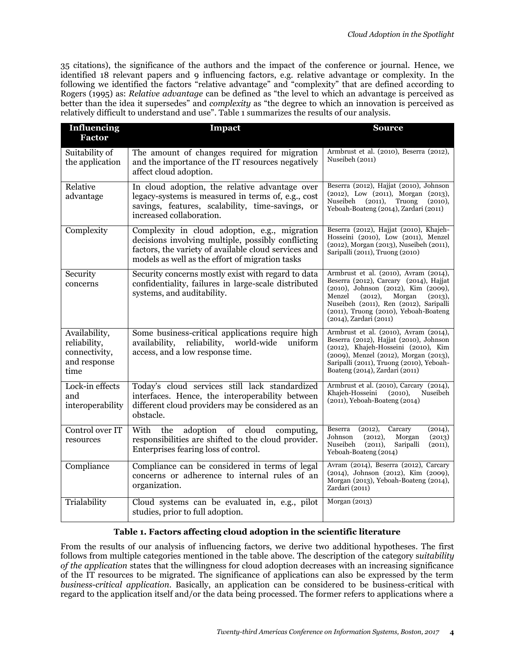35 citations), the significance of the authors and the impact of the conference or journal. Hence, we identified 18 relevant papers and 9 influencing factors, e.g. relative advantage or complexity. In the following we identified the factors "relative advantage" and "complexity" that are defined according to Rogers (1995) as: *Relative advantage* can be defined as "the level to which an advantage is perceived as better than the idea it supersedes" and *complexity* as "the degree to which an innovation is perceived as relatively difficult to understand and use". Table 1 summarizes the results of our analysis.

| <b>Influencing</b><br><b>Factor</b>                                    | Impact                                                                                                                                                                                                         | <b>Source</b>                                                                                                                                                                                                                                                                       |
|------------------------------------------------------------------------|----------------------------------------------------------------------------------------------------------------------------------------------------------------------------------------------------------------|-------------------------------------------------------------------------------------------------------------------------------------------------------------------------------------------------------------------------------------------------------------------------------------|
| Suitability of<br>the application                                      | The amount of changes required for migration<br>and the importance of the IT resources negatively<br>affect cloud adoption.                                                                                    | Armbrust et al. (2010), Beserra (2012),<br>Nuseibeh (2011)                                                                                                                                                                                                                          |
| Relative<br>advantage                                                  | In cloud adoption, the relative advantage over<br>legacy-systems is measured in terms of, e.g., cost<br>savings, features, scalability, time-savings, or<br>increased collaboration.                           | Beserra (2012), Hajjat (2010), Johnson<br>(2012), Low (2011), Morgan (2013),<br>Nuseibeh<br>(2011),<br>Truong<br>(2010),<br>Yeboah-Boateng (2014), Zardari (2011)                                                                                                                   |
| Complexity                                                             | Complexity in cloud adoption, e.g., migration<br>decisions involving multiple, possibly conflicting<br>factors, the variety of available cloud services and<br>models as well as the effort of migration tasks | Beserra (2012), Hajjat (2010), Khajeh-<br>Hosseini (2010), Low (2011), Menzel<br>(2012), Morgan (2013), Nuseibeh (2011),<br>Saripalli (2011), Truong (2010)                                                                                                                         |
| Security<br>concerns                                                   | Security concerns mostly exist with regard to data<br>confidentiality, failures in large-scale distributed<br>systems, and auditability.                                                                       | Armbrust et al. (2010), Avram (2014),<br>Beserra (2012), Carcary (2014), Hajjat<br>(2010), Johnson (2012), Kim (2009),<br>Menzel<br>(2012),<br>Morgan<br>(2013),<br>Nuseibeh (2011), Ren (2012), Saripalli<br>$(2011)$ , Truong $(2010)$ , Yeboah-Boateng<br>(2014), Zardari (2011) |
| Availability,<br>reliability,<br>connectivity,<br>and response<br>time | Some business-critical applications require high<br>availability,<br>reliability, world-wide<br>uniform<br>access, and a low response time.                                                                    | Armbrust et al. (2010), Avram (2014),<br>Beserra (2012), Hajjat (2010), Johnson<br>(2012), Khajeh-Hosseini (2010), Kim<br>(2009), Menzel (2012), Morgan (2013),<br>Saripalli (2011), Truong (2010), Yeboah-<br>Boateng (2014), Zardari (2011)                                       |
| Lock-in effects<br>and<br>interoperability                             | Today's cloud services still lack standardized<br>interfaces. Hence, the interoperability between<br>different cloud providers may be considered as an<br>obstacle.                                            | Armbrust et al. (2010), Carcary (2014),<br>(2010),<br>Nuseibeh<br>Khajeh-Hosseini<br>$(2011)$ , Yeboah-Boateng $(2014)$                                                                                                                                                             |
| Control over IT<br>resources                                           | With the<br>adoption of cloud<br>computing,<br>responsibilities are shifted to the cloud provider.<br>Enterprises fearing loss of control.                                                                     | Beserra<br>(2012),<br>Carcary<br>(2014),<br>Johnson<br>(2012),<br>Morgan<br>(2013)<br>Nuseibeh<br>(2011),<br>Saripalli<br>(2011),<br>Yeboah-Boateng (2014)                                                                                                                          |
| Compliance                                                             | Compliance can be considered in terms of legal<br>concerns or adherence to internal rules of an<br>organization.                                                                                               | Avram (2014), Beserra (2012), Carcary<br>(2014), Johnson (2012), Kim (2009),<br>Morgan (2013), Yeboah-Boateng (2014),<br>Zardari (2011)                                                                                                                                             |
| Trialability                                                           | Cloud systems can be evaluated in, e.g., pilot<br>studies, prior to full adoption.                                                                                                                             | Morgan (2013)                                                                                                                                                                                                                                                                       |

#### **Table 1. Factors affecting cloud adoption in the scientific literature**

From the results of our analysis of influencing factors, we derive two additional hypotheses. The first follows from multiple categories mentioned in the table above. The description of the category s*uitability of the application* states that the willingness for cloud adoption decreases with an increasing significance of the IT resources to be migrated. The significance of applications can also be expressed by the term *business-critical application*. Basically, an application can be considered to be business-critical with regard to the application itself and/or the data being processed. The former refers to applications where a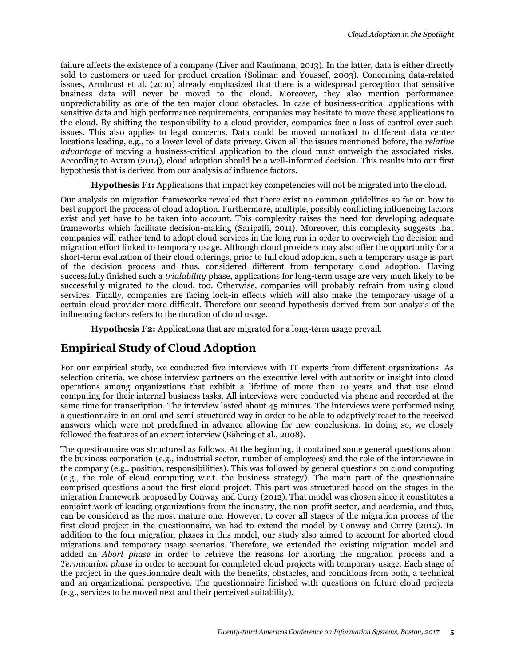failure affects the existence of a company (Liver and Kaufmann, 2013). In the latter, data is either directly sold to customers or used for product creation (Soliman and Youssef, 2003). Concerning data-related issues, Armbrust et al. (2010) already emphasized that there is a widespread perception that sensitive business data will never be moved to the cloud. Moreover, they also mention performance unpredictability as one of the ten major cloud obstacles. In case of business-critical applications with sensitive data and high performance requirements, companies may hesitate to move these applications to the cloud. By shifting the responsibility to a cloud provider, companies face a loss of control over such issues. This also applies to legal concerns. Data could be moved unnoticed to different data center locations leading, e.g., to a lower level of data privacy. Given all the issues mentioned before, the *relative advantage* of moving a business-critical application to the cloud must outweigh the associated risks. According to Avram (2014), cloud adoption should be a well-informed decision. This results into our first hypothesis that is derived from our analysis of influence factors.

**Hypothesis F1:** Applications that impact key competencies will not be migrated into the cloud.

Our analysis on migration frameworks revealed that there exist no common guidelines so far on how to best support the process of cloud adoption. Furthermore, multiple, possibly conflicting influencing factors exist and yet have to be taken into account. This complexity raises the need for developing adequate frameworks which facilitate decision-making (Saripalli, 2011). Moreover, this complexity suggests that companies will rather tend to adopt cloud services in the long run in order to overweigh the decision and migration effort linked to temporary usage. Although cloud providers may also offer the opportunity for a short-term evaluation of their cloud offerings, prior to full cloud adoption, such a temporary usage is part of the decision process and thus, considered different from temporary cloud adoption. Having successfully finished such a *trialability* phase, applications for long-term usage are very much likely to be successfully migrated to the cloud, too. Otherwise, companies will probably refrain from using cloud services. Finally, companies are facing lock-in effects which will also make the temporary usage of a certain cloud provider more difficult. Therefore our second hypothesis derived from our analysis of the influencing factors refers to the duration of cloud usage.

**Hypothesis F2:** Applications that are migrated for a long-term usage prevail.

# **Empirical Study of Cloud Adoption**

For our empirical study, we conducted five interviews with IT experts from different organizations. As selection criteria, we chose interview partners on the executive level with authority or insight into cloud operations among organizations that exhibit a lifetime of more than 10 years and that use cloud computing for their internal business tasks. All interviews were conducted via phone and recorded at the same time for transcription. The interview lasted about 45 minutes. The interviews were performed using a questionnaire in an oral and semi-structured way in order to be able to adaptively react to the received answers which were not predefined in advance allowing for new conclusions. In doing so, we closely followed the features of an expert interview (Bähring et al., 2008).

The questionnaire was structured as follows. At the beginning, it contained some general questions about the business corporation (e.g., industrial sector, number of employees) and the role of the interviewee in the company (e.g., position, responsibilities). This was followed by general questions on cloud computing (e.g., the role of cloud computing w.r.t. the business strategy). The main part of the questionnaire comprised questions about the first cloud project. This part was structured based on the stages in the migration framework proposed by Conway and Curry (2012). That model was chosen since it constitutes a conjoint work of leading organizations from the industry, the non-profit sector, and academia, and thus, can be considered as the most mature one. However, to cover all stages of the migration process of the first cloud project in the questionnaire, we had to extend the model by Conway and Curry (2012). In addition to the four migration phases in this model, our study also aimed to account for aborted cloud migrations and temporary usage scenarios. Therefore, we extended the existing migration model and added an *Abort phase* in order to retrieve the reasons for aborting the migration process and a *Termination phase* in order to account for completed cloud projects with temporary usage. Each stage of the project in the questionnaire dealt with the benefits, obstacles, and conditions from both, a technical and an organizational perspective. The questionnaire finished with questions on future cloud projects (e.g., services to be moved next and their perceived suitability).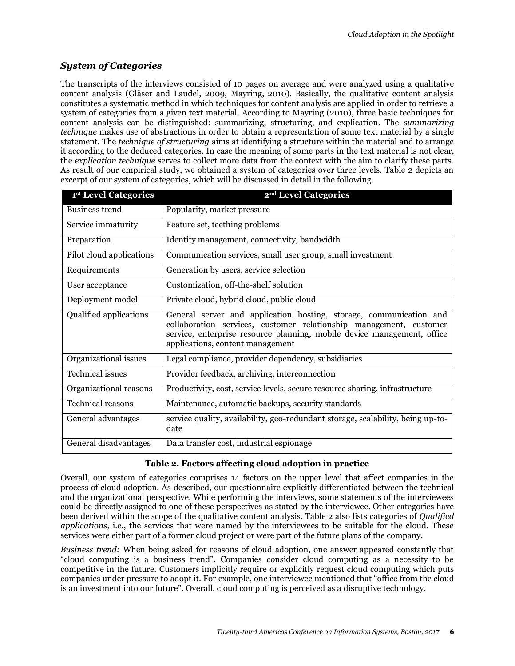## *System of Categories*

The transcripts of the interviews consisted of 10 pages on average and were analyzed using a qualitative content analysis (Gläser and Laudel, 2009, Mayring, 2010). Basically, the qualitative content analysis constitutes a systematic method in which techniques for content analysis are applied in order to retrieve a system of categories from a given text material. According to Mayring (2010), three basic techniques for content analysis can be distinguished: summarizing, structuring, and explication. The *summarizing technique* makes use of abstractions in order to obtain a representation of some text material by a single statement. The *technique of structuring* aims at identifying a structure within the material and to arrange it according to the deduced categories. In case the meaning of some parts in the text material is not clear, the *explication technique* serves to collect more data from the context with the aim to clarify these parts. As result of our empirical study, we obtained a system of categories over three levels. Table 2 depicts an excerpt of our system of categories, which will be discussed in detail in the following.

| 1st Level Categories     | 2 <sup>nd</sup> Level Categories                                                                                                                                                                                                                        |
|--------------------------|---------------------------------------------------------------------------------------------------------------------------------------------------------------------------------------------------------------------------------------------------------|
| Business trend           | Popularity, market pressure                                                                                                                                                                                                                             |
| Service immaturity       | Feature set, teething problems                                                                                                                                                                                                                          |
| Preparation              | Identity management, connectivity, bandwidth                                                                                                                                                                                                            |
| Pilot cloud applications | Communication services, small user group, small investment                                                                                                                                                                                              |
| Requirements             | Generation by users, service selection                                                                                                                                                                                                                  |
| User acceptance          | Customization, off-the-shelf solution                                                                                                                                                                                                                   |
| Deployment model         | Private cloud, hybrid cloud, public cloud                                                                                                                                                                                                               |
| Qualified applications   | General server and application hosting, storage, communication and<br>collaboration services, customer relationship management, customer<br>service, enterprise resource planning, mobile device management, office<br>applications, content management |
| Organizational issues    | Legal compliance, provider dependency, subsidiaries                                                                                                                                                                                                     |
| <b>Technical</b> issues  | Provider feedback, archiving, interconnection                                                                                                                                                                                                           |
| Organizational reasons   | Productivity, cost, service levels, secure resource sharing, infrastructure                                                                                                                                                                             |
| <b>Technical reasons</b> | Maintenance, automatic backups, security standards                                                                                                                                                                                                      |
| General advantages       | service quality, availability, geo-redundant storage, scalability, being up-to-<br>date                                                                                                                                                                 |
| General disadvantages    | Data transfer cost, industrial espionage                                                                                                                                                                                                                |

#### **Table 2. Factors affecting cloud adoption in practice**

Overall, our system of categories comprises 14 factors on the upper level that affect companies in the process of cloud adoption. As described, our questionnaire explicitly differentiated between the technical and the organizational perspective. While performing the interviews, some statements of the interviewees could be directly assigned to one of these perspectives as stated by the interviewee. Other categories have been derived within the scope of the qualitative content analysis. Table 2 also lists categories of *Qualified applications*, i.e., the services that were named by the interviewees to be suitable for the cloud. These services were either part of a former cloud project or were part of the future plans of the company.

*Business trend:* When being asked for reasons of cloud adoption, one answer appeared constantly that "cloud computing is a business trend". Companies consider cloud computing as a necessity to be competitive in the future. Customers implicitly require or explicitly request cloud computing which puts companies under pressure to adopt it. For example, one interviewee mentioned that "office from the cloud is an investment into our future". Overall, cloud computing is perceived as a disruptive technology.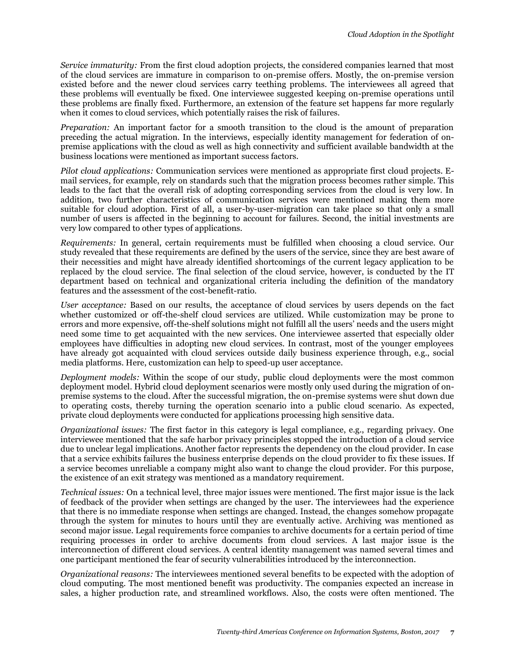*Service immaturity:* From the first cloud adoption projects, the considered companies learned that most of the cloud services are immature in comparison to on-premise offers. Mostly, the on-premise version existed before and the newer cloud services carry teething problems. The interviewees all agreed that these problems will eventually be fixed. One interviewee suggested keeping on-premise operations until these problems are finally fixed. Furthermore, an extension of the feature set happens far more regularly when it comes to cloud services, which potentially raises the risk of failures.

*Preparation:* An important factor for a smooth transition to the cloud is the amount of preparation preceding the actual migration. In the interviews, especially identity management for federation of onpremise applications with the cloud as well as high connectivity and sufficient available bandwidth at the business locations were mentioned as important success factors.

*Pilot cloud applications:* Communication services were mentioned as appropriate first cloud projects. Email services, for example, rely on standards such that the migration process becomes rather simple. This leads to the fact that the overall risk of adopting corresponding services from the cloud is very low. In addition, two further characteristics of communication services were mentioned making them more suitable for cloud adoption. First of all, a user-by-user-migration can take place so that only a small number of users is affected in the beginning to account for failures. Second, the initial investments are very low compared to other types of applications.

*Requirements:* In general, certain requirements must be fulfilled when choosing a cloud service. Our study revealed that these requirements are defined by the users of the service, since they are best aware of their necessities and might have already identified shortcomings of the current legacy application to be replaced by the cloud service. The final selection of the cloud service, however, is conducted by the IT department based on technical and organizational criteria including the definition of the mandatory features and the assessment of the cost-benefit-ratio.

*User acceptance:* Based on our results, the acceptance of cloud services by users depends on the fact whether customized or off-the-shelf cloud services are utilized. While customization may be prone to errors and more expensive, off-the-shelf solutions might not fulfill all the users' needs and the users might need some time to get acquainted with the new services. One interviewee asserted that especially older employees have difficulties in adopting new cloud services. In contrast, most of the younger employees have already got acquainted with cloud services outside daily business experience through, e.g., social media platforms. Here, customization can help to speed-up user acceptance.

*Deployment models:* Within the scope of our study, public cloud deployments were the most common deployment model. Hybrid cloud deployment scenarios were mostly only used during the migration of onpremise systems to the cloud. After the successful migration, the on-premise systems were shut down due to operating costs, thereby turning the operation scenario into a public cloud scenario. As expected, private cloud deployments were conducted for applications processing high sensitive data.

*Organizational issues:* The first factor in this category is legal compliance, e.g., regarding privacy. One interviewee mentioned that the safe harbor privacy principles stopped the introduction of a cloud service due to unclear legal implications. Another factor represents the dependency on the cloud provider. In case that a service exhibits failures the business enterprise depends on the cloud provider to fix these issues. If a service becomes unreliable a company might also want to change the cloud provider. For this purpose, the existence of an exit strategy was mentioned as a mandatory requirement.

*Technical issues:* On a technical level, three major issues were mentioned. The first major issue is the lack of feedback of the provider when settings are changed by the user. The interviewees had the experience that there is no immediate response when settings are changed. Instead, the changes somehow propagate through the system for minutes to hours until they are eventually active. Archiving was mentioned as second major issue. Legal requirements force companies to archive documents for a certain period of time requiring processes in order to archive documents from cloud services. A last major issue is the interconnection of different cloud services. A central identity management was named several times and one participant mentioned the fear of security vulnerabilities introduced by the interconnection.

*Organizational reasons:* The interviewees mentioned several benefits to be expected with the adoption of cloud computing. The most mentioned benefit was productivity. The companies expected an increase in sales, a higher production rate, and streamlined workflows. Also, the costs were often mentioned. The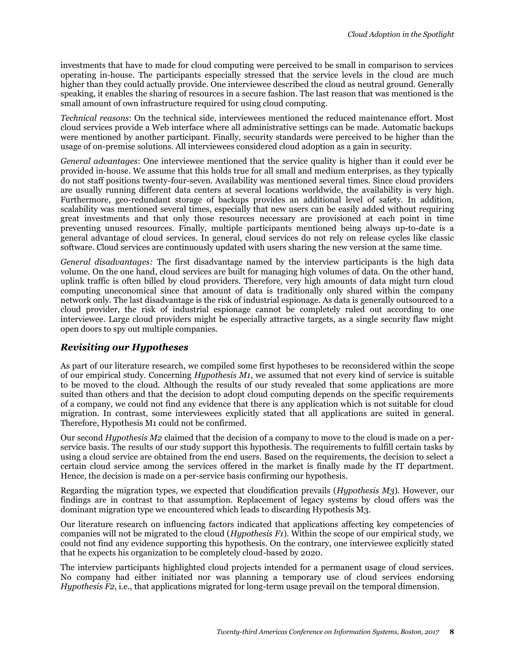investments that have to made for cloud computing were perceived to be small in comparison to services operating in-house. The participants especially stressed that the service levels in the cloud are much higher than they could actually provide. One interviewee described the cloud as neutral ground. Generally speaking, it enables the sharing of resources in a secure fashion. The last reason that was mentioned is the small amount of own infrastructure required for using cloud computing.

*Technical reasons*: On the technical side, interviewees mentioned the reduced maintenance effort. Most cloud services provide a Web interface where all administrative settings can be made. Automatic backups were mentioned by another participant. Finally, security standards were perceived to be higher than the usage of on-premise solutions. All interviewees considered cloud adoption as a gain in security.

*General advantages*: One interviewee mentioned that the service quality is higher than it could ever be provided in-house. We assume that this holds true for all small and medium enterprises, as they typically do not staff positions twenty-four-seven. Availability was mentioned several times. Since cloud providers are usually running different data centers at several locations worldwide, the availability is very high. Furthermore, geo-redundant storage of backups provides an additional level of safety. In addition, scalability was mentioned several times, especially that new users can be easily added without requiring great investments and that only those resources necessary are provisioned at each point in time preventing unused resources. Finally, multiple participants mentioned being always up-to-date is a general advantage of cloud services. In general, cloud services do not rely on release cycles like classic software. Cloud services are continuously updated with users sharing the new version at the same time.

*General disadvantages:* The first disadvantage named by the interview participants is the high data volume. On the one hand, cloud services are built for managing high volumes of data. On the other hand, uplink traffic is often billed by cloud providers. Therefore, very high amounts of data might turn cloud computing uneconomical since that amount of data is traditionally only shared within the company network only. The last disadvantage is the risk of industrial espionage. As data is generally outsourced to a cloud provider, the risk of industrial espionage cannot be completely ruled out according to one interviewee. Large cloud providers might be especially attractive targets, as a single security flaw might open doors to spy out multiple companies.

#### *Revisiting our Hypotheses*

As part of our literature research, we compiled some first hypotheses to be reconsidered within the scope of our empirical study. Concerning *Hypothesis M1*, we assumed that not every kind of service is suitable to be moved to the cloud. Although the results of our study revealed that some applications are more suited than others and that the decision to adopt cloud computing depends on the specific requirements of a company, we could not find any evidence that there is any application which is not suitable for cloud migration. In contrast, some interviewees explicitly stated that all applications are suited in general. Therefore, Hypothesis M1 could not be confirmed.

Our second *Hypothesis M2* claimed that the decision of a company to move to the cloud is made on a perservice basis. The results of our study support this hypothesis. The requirements to fulfill certain tasks by using a cloud service are obtained from the end users. Based on the requirements, the decision to select a certain cloud service among the services offered in the market is finally made by the IT department. Hence, the decision is made on a per-service basis confirming our hypothesis.

Regarding the migration types, we expected that cloudification prevails (*Hypothesis M3*). However, our findings are in contrast to that assumption. Replacement of legacy systems by cloud offers was the dominant migration type we encountered which leads to discarding Hypothesis M3.

Our literature research on influencing factors indicated that applications affecting key competencies of companies will not be migrated to the cloud (*Hypothesis F1*). Within the scope of our empirical study, we could not find any evidence supporting this hypothesis. On the contrary, one interviewee explicitly stated that he expects his organization to be completely cloud-based by 2020.

The interview participants highlighted cloud projects intended for a permanent usage of cloud services. No company had either initiated nor was planning a temporary use of cloud services endorsing *Hypothesis F2*, i.e., that applications migrated for long-term usage prevail on the temporal dimension.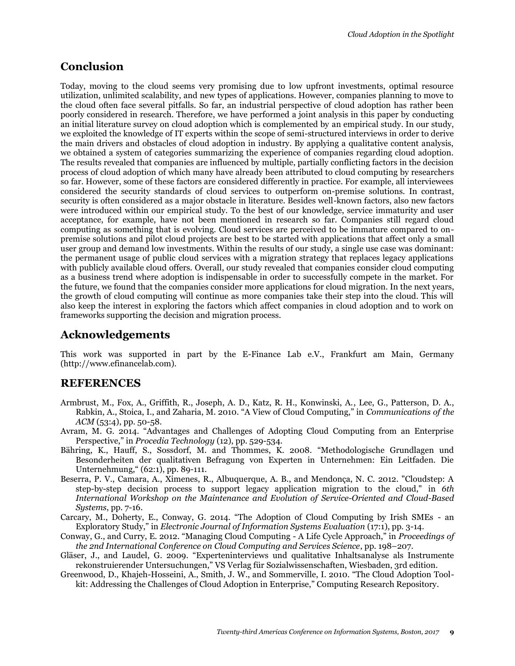# **Conclusion**

Today, moving to the cloud seems very promising due to low upfront investments, optimal resource utilization, unlimited scalability, and new types of applications. However, companies planning to move to the cloud often face several pitfalls. So far, an industrial perspective of cloud adoption has rather been poorly considered in research. Therefore, we have performed a joint analysis in this paper by conducting an initial literature survey on cloud adoption which is complemented by an empirical study. In our study, we exploited the knowledge of IT experts within the scope of semi-structured interviews in order to derive the main drivers and obstacles of cloud adoption in industry. By applying a qualitative content analysis, we obtained a system of categories summarizing the experience of companies regarding cloud adoption. The results revealed that companies are influenced by multiple, partially conflicting factors in the decision process of cloud adoption of which many have already been attributed to cloud computing by researchers so far. However, some of these factors are considered differently in practice. For example, all interviewees considered the security standards of cloud services to outperform on-premise solutions. In contrast, security is often considered as a major obstacle in literature. Besides well-known factors, also new factors were introduced within our empirical study. To the best of our knowledge, service immaturity and user acceptance, for example, have not been mentioned in research so far. Companies still regard cloud computing as something that is evolving. Cloud services are perceived to be immature compared to onpremise solutions and pilot cloud projects are best to be started with applications that affect only a small user group and demand low investments. Within the results of our study, a single use case was dominant: the permanent usage of public cloud services with a migration strategy that replaces legacy applications with publicly available cloud offers. Overall, our study revealed that companies consider cloud computing as a business trend where adoption is indispensable in order to successfully compete in the market. For the future, we found that the companies consider more applications for cloud migration. In the next years, the growth of cloud computing will continue as more companies take their step into the cloud. This will also keep the interest in exploring the factors which affect companies in cloud adoption and to work on frameworks supporting the decision and migration process.

## **Acknowledgements**

This work was supported in part by the E-Finance Lab e.V., Frankfurt am Main, Germany (http://www.efinancelab.com).

## **REFERENCES**

- Armbrust, M., Fox, A., Griffith, R., Joseph, A. D., Katz, R. H., Konwinski, A., Lee, G., Patterson, D. A., Rabkin, A., Stoica, I., and Zaharia, M. 2010. "A View of Cloud Computing," in *Communications of the ACM* (53:4), pp. 50-58.
- Avram, M. G. 2014. "Advantages and Challenges of Adopting Cloud Computing from an Enterprise Perspective," in *Procedia Technology* (12), pp. 529-534.
- Bähring, K., Hauff, S., Sossdorf, M. and Thommes, K. 2008. "Methodologische Grundlagen und Besonderheiten der qualitativen Befragung von Experten in Unternehmen: Ein Leitfaden. Die Unternehmung," (62:1), pp. 89-111.
- Beserra, P. V., Camara, A., Ximenes, R., Albuquerque, A. B., and Mendonça, N. C. 2012. "Cloudstep: A step-by-step decision process to support legacy application migration to the cloud," in *6th International Workshop on the Maintenance and Evolution of Service-Oriented and Cloud-Based Systems*, pp. 7-16.
- Carcary, M., Doherty, E., Conway, G. 2014. "The Adoption of Cloud Computing by Irish SMEs an Exploratory Study," in *Electronic Journal of Information Systems Evaluation* (17:1), pp. 3-14.
- Conway, G., and Curry, E. 2012. "Managing Cloud Computing A Life Cycle Approach," in *Proceedings of the 2nd International Conference on Cloud Computing and Services Science*, pp. 198–207.
- Gläser, J., and Laudel, G. 2009. "Experteninterviews und qualitative Inhaltsanalyse als Instrumente rekonstruierender Untersuchungen," VS Verlag für Sozialwissenschaften, Wiesbaden, 3rd edition.
- Greenwood, D., Khajeh-Hosseini, A., Smith, J. W., and Sommerville, I. 2010. "The Cloud Adoption Toolkit: Addressing the Challenges of Cloud Adoption in Enterprise," Computing Research Repository.